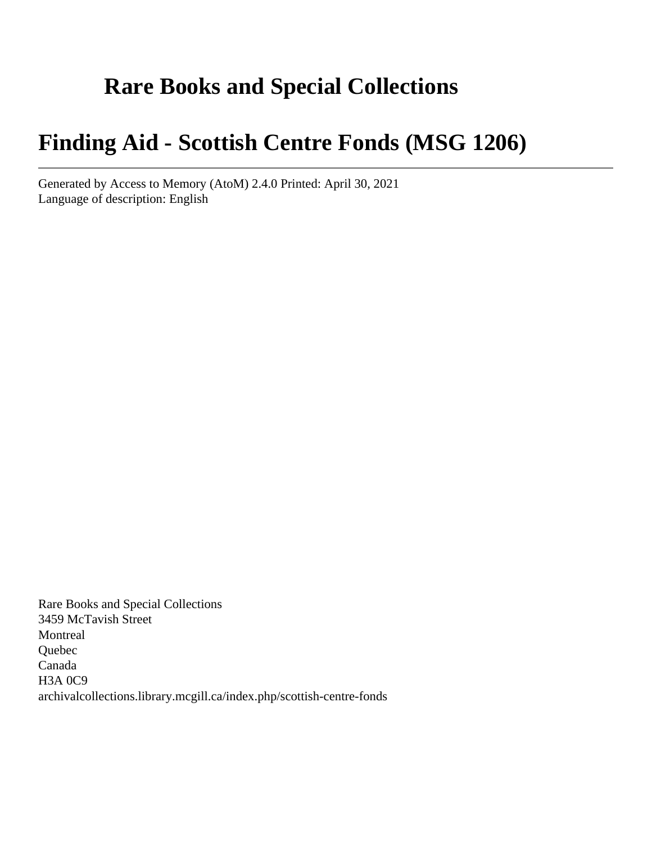# **Rare Books and Special Collections**

# **Finding Aid - Scottish Centre Fonds (MSG 1206)**

Generated by Access to Memory (AtoM) 2.4.0 Printed: April 30, 2021 Language of description: English

Rare Books and Special Collections 3459 McTavish Street Montreal Quebec Canada H3A 0C9 archivalcollections.library.mcgill.ca/index.php/scottish-centre-fonds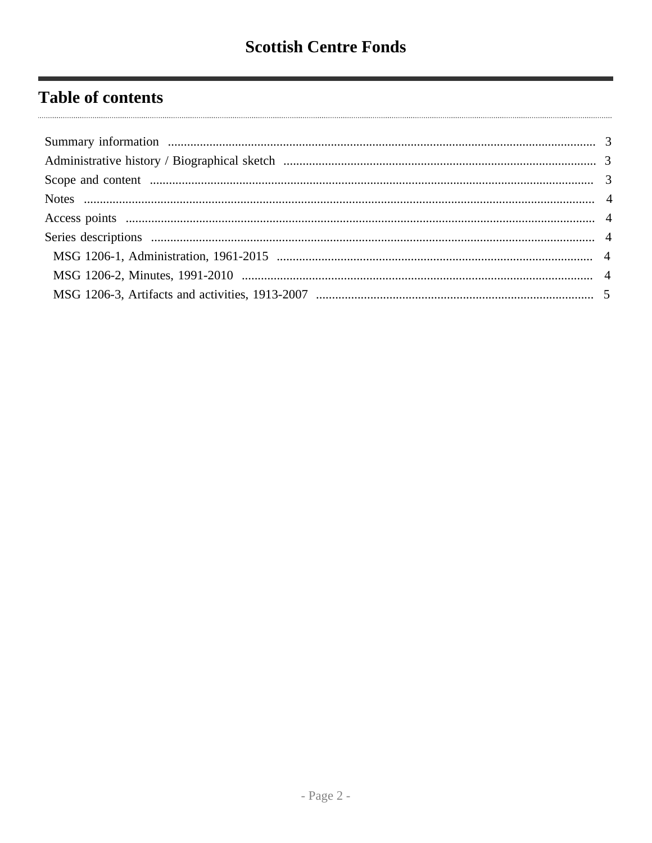# **Table of contents**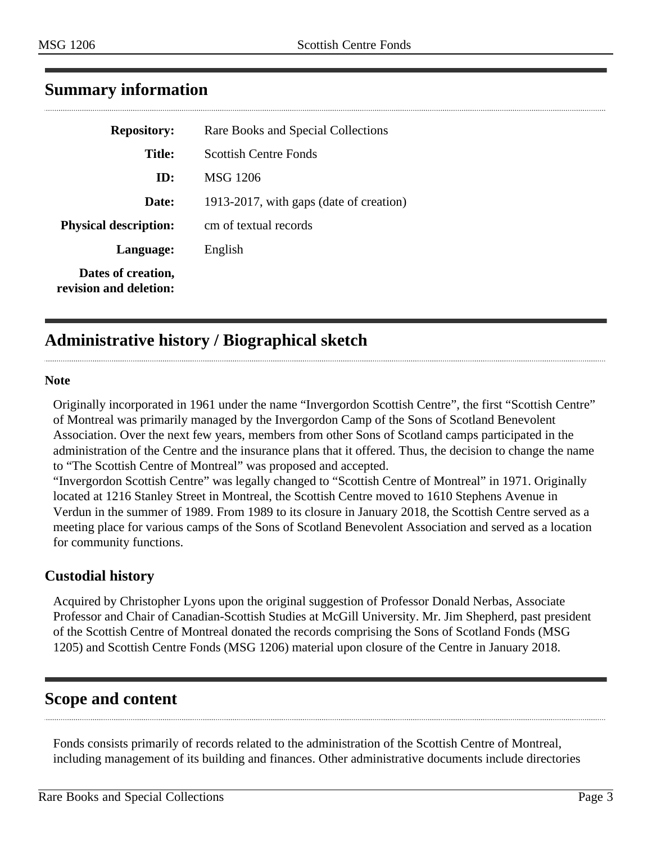| <b>Repository:</b>                           | Rare Books and Special Collections      |
|----------------------------------------------|-----------------------------------------|
| <b>Title:</b>                                | <b>Scottish Centre Fonds</b>            |
| ID:                                          | <b>MSG 1206</b>                         |
| Date:                                        | 1913-2017, with gaps (date of creation) |
| <b>Physical description:</b>                 | cm of textual records                   |
| Language:                                    | English                                 |
| Dates of creation,<br>revision and deletion: |                                         |

# <span id="page-2-0"></span>**Summary information**

# <span id="page-2-1"></span>**Administrative history / Biographical sketch**

#### **Note**

Originally incorporated in 1961 under the name "Invergordon Scottish Centre", the first "Scottish Centre" of Montreal was primarily managed by the Invergordon Camp of the Sons of Scotland Benevolent Association. Over the next few years, members from other Sons of Scotland camps participated in the administration of the Centre and the insurance plans that it offered. Thus, the decision to change the name to "The Scottish Centre of Montreal" was proposed and accepted.

"Invergordon Scottish Centre" was legally changed to "Scottish Centre of Montreal" in 1971. Originally located at 1216 Stanley Street in Montreal, the Scottish Centre moved to 1610 Stephens Avenue in Verdun in the summer of 1989. From 1989 to its closure in January 2018, the Scottish Centre served as a meeting place for various camps of the Sons of Scotland Benevolent Association and served as a location for community functions.

#### **Custodial history**

Acquired by Christopher Lyons upon the original suggestion of Professor Donald Nerbas, Associate Professor and Chair of Canadian-Scottish Studies at McGill University. Mr. Jim Shepherd, past president of the Scottish Centre of Montreal donated the records comprising the Sons of Scotland Fonds (MSG 1205) and Scottish Centre Fonds (MSG 1206) material upon closure of the Centre in January 2018.

# <span id="page-2-2"></span>**Scope and content**

Fonds consists primarily of records related to the administration of the Scottish Centre of Montreal, including management of its building and finances. Other administrative documents include directories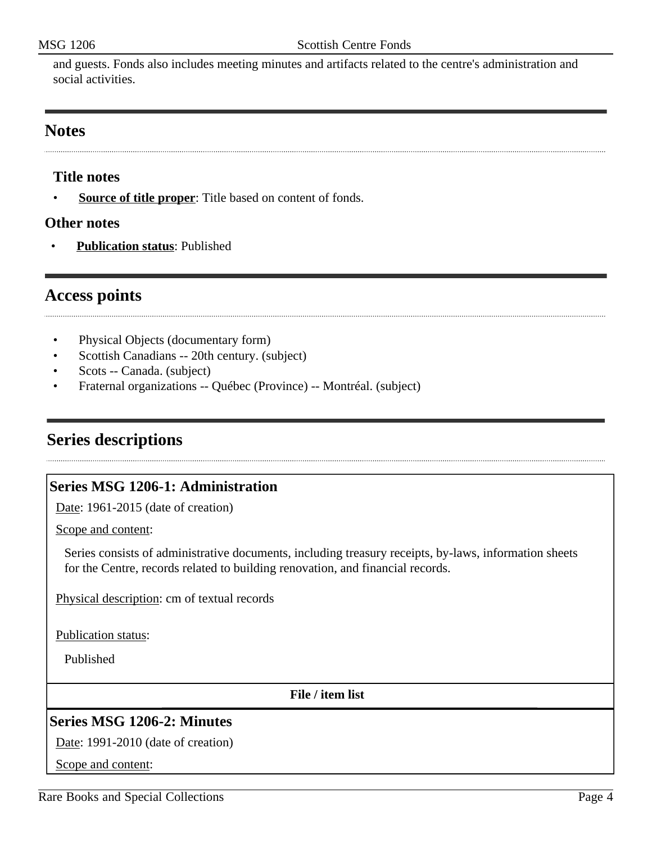and guests. Fonds also includes meeting minutes and artifacts related to the centre's administration and social activities.

#### <span id="page-3-0"></span>**Notes**

# **Title notes**

• **Source of title proper**: Title based on content of fonds.

#### **Other notes**

• **Publication status**: Published

# <span id="page-3-1"></span>**Access points**

- Physical Objects (documentary form)
- Scottish Canadians -- 20th century. (subject)
- Scots -- Canada. (subject)
- Fraternal organizations -- Québec (Province) -- Montréal. (subject)

# <span id="page-3-2"></span>**Series descriptions**

# <span id="page-3-3"></span>**Series MSG 1206-1: Administration**

Date: 1961-2015 (date of creation)

Scope and content:

Series consists of administrative documents, including treasury receipts, by-laws, information sheets for the Centre, records related to building renovation, and financial records.

Physical description: cm of textual records

Publication status:

Published

**File / item list**

# <span id="page-3-4"></span>**Series MSG 1206-2: Minutes**

Date: 1991-2010 (date of creation)

Scope and content: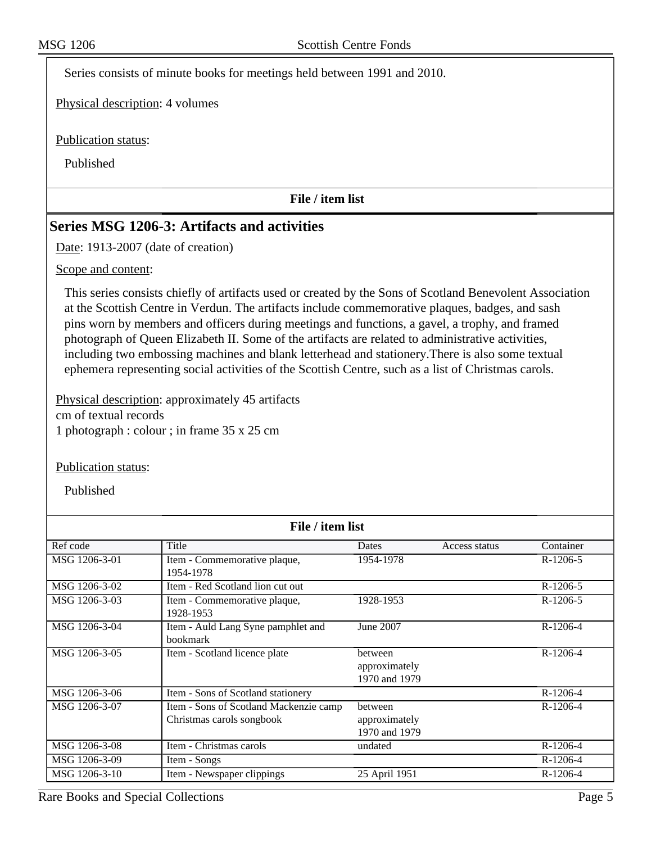Series consists of minute books for meetings held between 1991 and 2010.

Physical description: 4 volumes

Publication status:

Published

**File / item list**

# <span id="page-4-0"></span>**Series MSG 1206-3: Artifacts and activities**

Date: 1913-2007 (date of creation)

#### Scope and content:

This series consists chiefly of artifacts used or created by the Sons of Scotland Benevolent Association at the Scottish Centre in Verdun. The artifacts include commemorative plaques, badges, and sash pins worn by members and officers during meetings and functions, a gavel, a trophy, and framed photograph of Queen Elizabeth II. Some of the artifacts are related to administrative activities, including two embossing machines and blank letterhead and stationery.There is also some textual ephemera representing social activities of the Scottish Centre, such as a list of Christmas carols.

Physical description: approximately 45 artifacts cm of textual records 1 photograph : colour ; in frame 35 x 25 cm

#### Publication status:

Published

| File / item list |                                        |               |               |            |  |  |
|------------------|----------------------------------------|---------------|---------------|------------|--|--|
| Ref code         | Title                                  | Dates         | Access status | Container  |  |  |
| MSG 1206-3-01    | Item - Commemorative plaque,           | 1954-1978     |               | $R-1206-5$ |  |  |
|                  | 1954-1978                              |               |               |            |  |  |
| MSG 1206-3-02    | Item - Red Scotland lion cut out       |               |               | $R-1206-5$ |  |  |
| MSG 1206-3-03    | Item - Commemorative plaque,           | 1928-1953     |               | $R-1206-5$ |  |  |
|                  | 1928-1953                              |               |               |            |  |  |
| MSG 1206-3-04    | Item - Auld Lang Syne pamphlet and     | June 2007     |               | $R-1206-4$ |  |  |
|                  | <b>bookmark</b>                        |               |               |            |  |  |
| MSG 1206-3-05    | Item - Scotland licence plate          | between       |               | R-1206-4   |  |  |
|                  |                                        | approximately |               |            |  |  |
|                  |                                        | 1970 and 1979 |               |            |  |  |
| MSG 1206-3-06    | Item - Sons of Scotland stationery     |               |               | R-1206-4   |  |  |
| MSG 1206-3-07    | Item - Sons of Scotland Mackenzie camp | between       |               | $R-1206-4$ |  |  |
|                  | Christmas carols songbook              | approximately |               |            |  |  |
|                  |                                        | 1970 and 1979 |               |            |  |  |
| MSG 1206-3-08    | Item - Christmas carols                | undated       |               | R-1206-4   |  |  |
| MSG 1206-3-09    | Item - Songs                           |               |               | R-1206-4   |  |  |
| MSG 1206-3-10    | Item - Newspaper clippings             | 25 April 1951 |               | R-1206-4   |  |  |